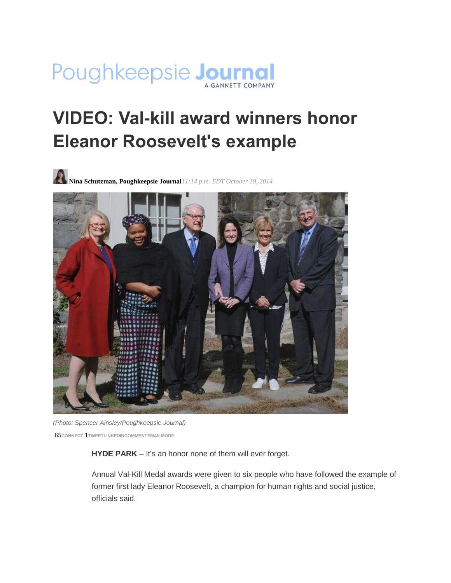

## **VIDEO: Val-kill award winners honor Eleanor Roosevelt's example**





*(Photo: Spencer Ainsley/Poughkeepsie Journal)* 65**CONNECT** 1**[TWEETLINKEDINC](https://twitter.com/intent/tweet?url=http%3A//pojonews.co/1we3s9C&text=VIDEO%3A%20Val-kill%20award%20winners%20honor%20Eleanor%20Roosevelt%27s%20example&via=pokjournal)OMMENTEMAILMORE**

**HYDE PARK** – It's an honor none of them will ever forget.

Annual Val-Kill Medal awards were given to six people who have followed the example of former first lady Eleanor Roosevelt, a champion for human rights and social justice, officials said.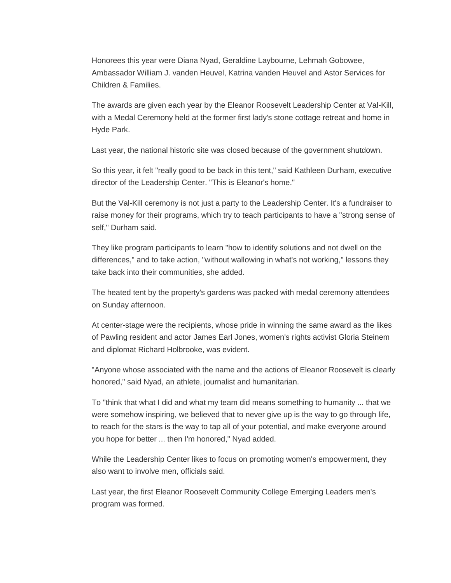Honorees this year were Diana Nyad, Geraldine Laybourne, Lehmah Gobowee, Ambassador William J. vanden Heuvel, Katrina vanden Heuvel and Astor Services for Children & Families.

The awards are given each year by the Eleanor Roosevelt Leadership Center at Val-Kill, with a Medal Ceremony held at the former first lady's stone cottage retreat and home in Hyde Park.

Last year, the national historic site was closed because of the government shutdown.

So this year, it felt "really good to be back in this tent," said Kathleen Durham, executive director of the Leadership Center. "This is Eleanor's home."

But the Val-Kill ceremony is not just a party to the Leadership Center. It's a fundraiser to raise money for their programs, which try to teach participants to have a "strong sense of self," Durham said.

They like program participants to learn "how to identify solutions and not dwell on the differences," and to take action, "without wallowing in what's not working," lessons they take back into their communities, she added.

The heated tent by the property's gardens was packed with medal ceremony attendees on Sunday afternoon.

At center-stage were the recipients, whose pride in winning the same award as the likes of Pawling resident and actor James Earl Jones, women's rights activist Gloria Steinem and diplomat Richard Holbrooke, was evident.

"Anyone whose associated with the name and the actions of Eleanor Roosevelt is clearly honored," said Nyad, an athlete, journalist and humanitarian.

To "think that what I did and what my team did means something to humanity ... that we were somehow inspiring, we believed that to never give up is the way to go through life, to reach for the stars is the way to tap all of your potential, and make everyone around you hope for better ... then I'm honored," Nyad added.

While the Leadership Center likes to focus on promoting women's empowerment, they also want to involve men, officials said.

Last year, the first Eleanor Roosevelt Community College Emerging Leaders men's program was formed.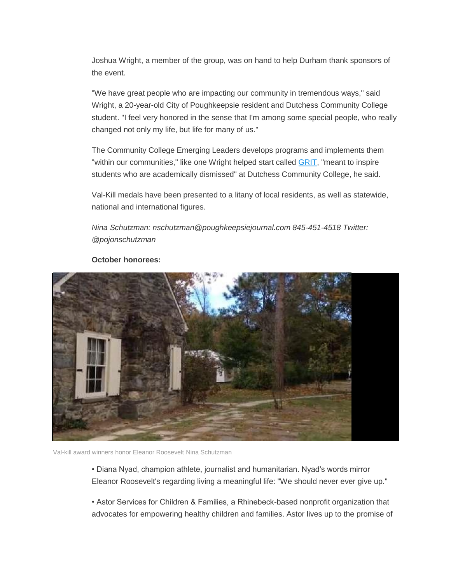Joshua Wright, a member of the group, was on hand to help Durham thank sponsors of the event.

"We have great people who are impacting our community in tremendous ways," said Wright, a 20-year-old City of Poughkeepsie resident and Dutchess Community College student. "I feel very honored in the sense that I'm among some special people, who really changed not only my life, but life for many of us."

The Community College Emerging Leaders develops programs and implements them "within our communities," like one Wright helped start called [GRIT,](http://prezi.com/ydc-auh7-nmw/do-you-have-grit/) "meant to inspire students who are academically dismissed" at Dutchess Community College, he said.

Val-Kill medals have been presented to a litany of local residents, as well as statewide, national and international figures.

*Nina Schutzman: nschutzman@poughkeepsiejournal.com 845-451-4518 Twitter: @pojonschutzman*



## **October honorees:**

Val-kill award winners honor Eleanor Roosevelt Nina Schutzman

• Diana Nyad, champion athlete, journalist and humanitarian. Nyad's words mirror Eleanor Roosevelt's regarding living a meaningful life: "We should never ever give up."

• Astor Services for Children & Families, a Rhinebeck-based nonprofit organization that advocates for empowering healthy children and families. Astor lives up to the promise of